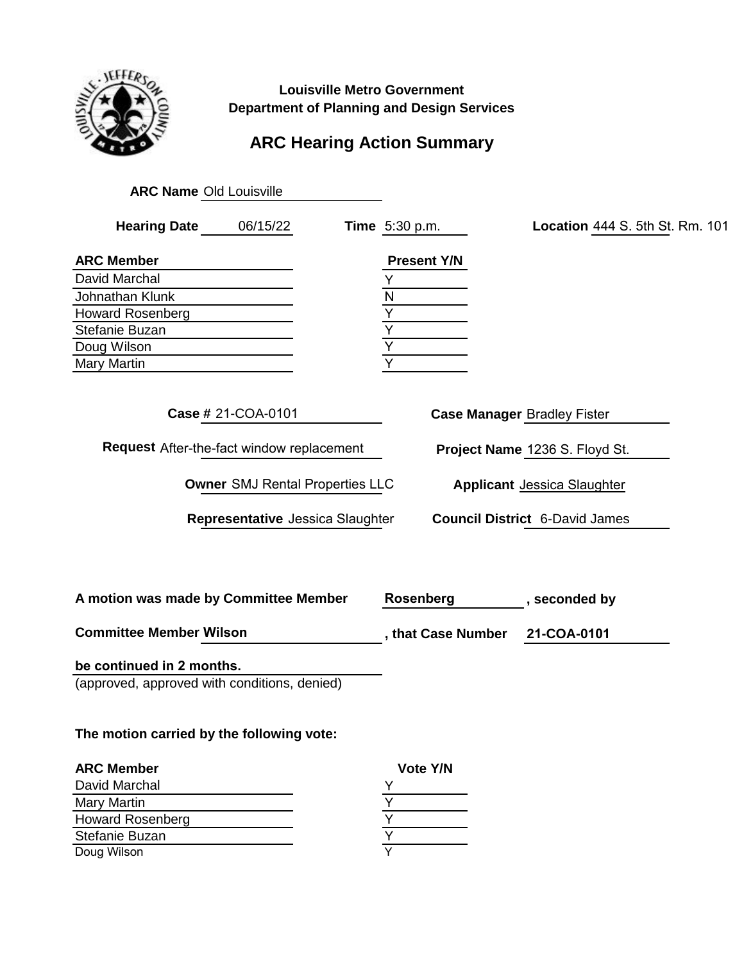

**Louisville Metro Government Department of Planning and Design Services**

## **ARC Hearing Action Summary**

| <b>ARC Name Old Louisville</b>                                                                                                                                                                                                                                                                              |  |                                |                                 |  |  |
|-------------------------------------------------------------------------------------------------------------------------------------------------------------------------------------------------------------------------------------------------------------------------------------------------------------|--|--------------------------------|---------------------------------|--|--|
| <b>Hearing Date</b><br>06/15/22                                                                                                                                                                                                                                                                             |  | <b>Time</b> 5:30 p.m.          | Location 444 S. 5th St. Rm. 101 |  |  |
| <b>ARC Member</b>                                                                                                                                                                                                                                                                                           |  | <b>Present Y/N</b>             |                                 |  |  |
| David Marchal                                                                                                                                                                                                                                                                                               |  | Υ                              |                                 |  |  |
| Johnathan Klunk                                                                                                                                                                                                                                                                                             |  | N                              |                                 |  |  |
| <b>Howard Rosenberg</b>                                                                                                                                                                                                                                                                                     |  | $\overline{Y}$                 |                                 |  |  |
| Stefanie Buzan                                                                                                                                                                                                                                                                                              |  | $\overline{Y}$                 |                                 |  |  |
| Doug Wilson                                                                                                                                                                                                                                                                                                 |  | $\overline{Y}$                 |                                 |  |  |
| <b>Mary Martin</b>                                                                                                                                                                                                                                                                                          |  | Y                              |                                 |  |  |
| Case # 21-COA-0101<br><b>Case Manager Bradley Fister</b><br><b>Request</b> After-the-fact window replacement<br>Project Name 1236 S. Floyd St.<br><b>Owner SMJ Rental Properties LLC</b><br><b>Applicant Jessica Slaughter</b><br>Representative Jessica Slaughter<br><b>Council District 6-David James</b> |  |                                |                                 |  |  |
| A motion was made by Committee Member                                                                                                                                                                                                                                                                       |  | <b>Rosenberg</b>               | , seconded by                   |  |  |
| <b>Committee Member Wilson</b>                                                                                                                                                                                                                                                                              |  | , that Case Number 21-COA-0101 |                                 |  |  |
| be continued in 2 months.<br>(approved, approved with conditions, denied)                                                                                                                                                                                                                                   |  |                                |                                 |  |  |
| The motion carried by the following vote:                                                                                                                                                                                                                                                                   |  |                                |                                 |  |  |
| <b>ARC Member</b>                                                                                                                                                                                                                                                                                           |  | Vote Y/N                       |                                 |  |  |

| <b>ARC Member</b>       | Vote Y/N |
|-------------------------|----------|
| David Marchal           |          |
| <b>Mary Martin</b>      |          |
| <b>Howard Rosenberg</b> |          |
| Stefanie Buzan          |          |
| Doug Wilson             |          |